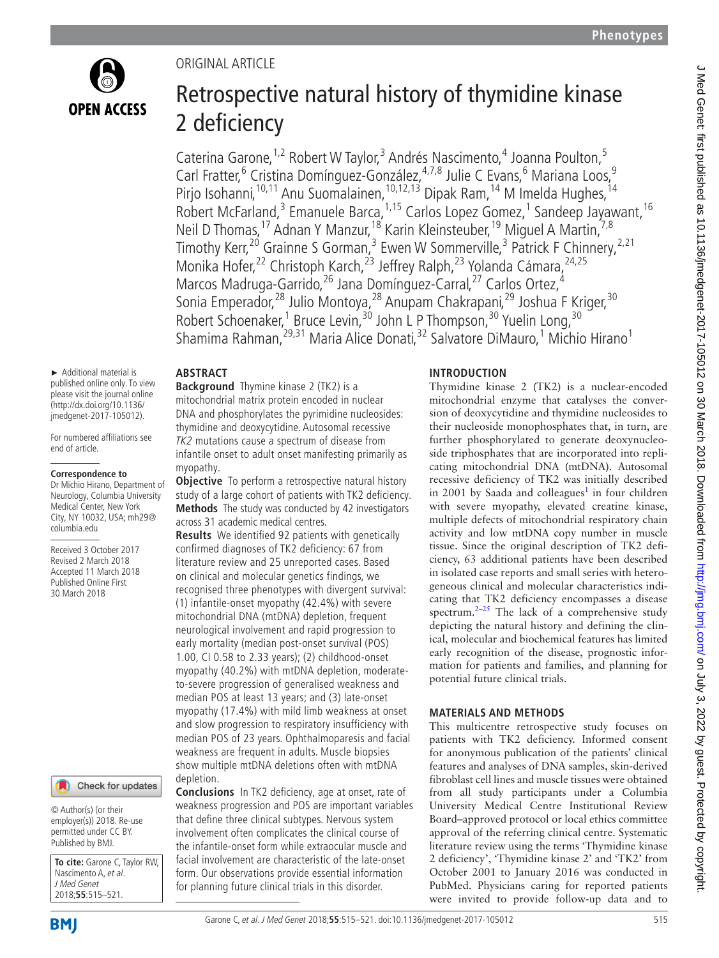

# Original article

# Retrospective natural history of thymidine kinase 2 deficiency

Caterina Garone, <sup>1,2</sup> Robert W Taylor, <sup>3</sup> Andrés Nascimento, <sup>4</sup> Joanna Poulton, <sup>5</sup> Carl Fratter,<sup>6</sup> Cristina Domínguez-González,<sup>4,7,8</sup> Julie C Evans,<sup>6</sup> Mariana Loos,<sup>9</sup> Pirjo Isohanni,<sup>10,11</sup> Anu Suomalainen,<sup>10,12,13</sup> Dipak Ram,<sup>14</sup> M Imelda Hughes,<sup>14</sup> Robert McFarland,<sup>3</sup> Emanuele Barca, <sup>1,15</sup> Carlos Lopez Gomez, <sup>1</sup> Sandeep Jayawant, <sup>16</sup> Neil D Thomas, <sup>17</sup> Adnan Y Manzur, <sup>18</sup> Karin Kleinsteuber, <sup>19</sup> Miguel A Martin, <sup>7,8</sup> Timothy Kerr,<sup>20</sup> Grainne S Gorman,<sup>3</sup> Ewen W Sommerville,<sup>3</sup> Patrick F Chinnery,<sup>2,21</sup> Monika Hofer,<sup>22</sup> Christoph Karch,<sup>23</sup> Jeffrey Ralph,<sup>23</sup> Yolanda Cámara,<sup>24,25</sup> Marcos Madruga-Garrido,<sup>26</sup> Jana Domínguez-Carral,<sup>27</sup> Carlos Ortez,<sup>4</sup> Sonia Emperador,<sup>28</sup> Julio Montoya,<sup>28</sup> Anupam Chakrapani,<sup>29</sup> Joshua F Kriger,<sup>30</sup> Robert Schoenaker,<sup>1</sup> Bruce Levin,<sup>30</sup> John L P Thompson,<sup>30</sup> Yuelin Long,<sup>30</sup> Shamima Rahman, <sup>29,31</sup> Maria Alice Donati, <sup>32</sup> Salvatore DiMauro, <sup>1</sup> Michio Hirano<sup>1</sup>

# **Abstract**

► Additional material is published online only. To view please visit the journal online (http://dx.doi.org/10.1136/ jmedgenet-2017-105012).

For numbered affiliations see end of article.

#### **Correspondence to**

Dr Michio Hirano, Department of Neurology, Columbia University Medical Center, New York City, NY 10032, USA; mh29@ columbia.edu

Received 3 October 2017 Revised 2 March 2018 Accepted 11 March 2018 Published Online First 30 March 2018

#### Check for updates

© Author(s) (or their employer(s)) 2018. Re-use permitted under CC BY. Published by BMJ.

**To cite:** Garone C, Taylor RW, Nascimento A, et al. J Med Genet 2018;**55**:515–521.

**Background** Thymine kinase 2 (TK2) is a mitochondrial matrix protein encoded in nuclear DNA and phosphorylates the pyrimidine nucleosides: thymidine and deoxycytidine. Autosomal recessive TK2 mutations cause a spectrum of disease from infantile onset to adult onset manifesting primarily as myopathy.

**Objective** To perform a retrospective natural history study of a large cohort of patients with TK2 deficiency. **Methods** The study was conducted by 42 investigators across 31 academic medical centres.

**Results** We identified 92 patients with genetically confirmed diagnoses of TK2 deficiency: 67 from literature review and 25 unreported cases. Based on clinical and molecular genetics findings, we recognised three phenotypes with divergent survival: (1) infantile-onset myopathy (42.4%) with severe mitochondrial DNA (mtDNA) depletion, frequent neurological involvement and rapid progression to early mortality (median post-onset survival (POS) 1.00, CI 0.58 to 2.33 years); (2) childhood-onset myopathy (40.2%) with mtDNA depletion, moderateto-severe progression of generalised weakness and median POS at least 13 years; and (3) late-onset myopathy (17.4%) with mild limb weakness at onset and slow progression to respiratory insufficiency with median POS of 23 years. Ophthalmoparesis and facial weakness are frequent in adults. Muscle biopsies show multiple mtDNA deletions often with mtDNA depletion.

**Conclusions** In TK2 deficiency, age at onset, rate of weakness progression and POS are important variables that define three clinical subtypes. Nervous system involvement often complicates the clinical course of the infantile-onset form while extraocular muscle and facial involvement are characteristic of the late-onset form. Our observations provide essential information for planning future clinical trials in this disorder.

# **Introduction**

Thymidine kinase 2 (TK2) is a nuclear-encoded mitochondrial enzyme that catalyses the conversion of deoxycytidine and thymidine nucleosides to their nucleoside monophosphates that, in turn, are further phosphorylated to generate deoxynucleoside triphosphates that are incorporated into replicating mitochondrial DNA (mtDNA). Autosomal recessive deficiency of TK2 was initially described in 2001 by Saada and colleagues<sup>1</sup> in four children with severe myopathy, elevated creatine kinase, multiple defects of mitochondrial respiratory chain activity and low mtDNA copy number in muscle tissue. Since the original description of TK2 deficiency, 63 additional patients have been described in isolated case reports and small series with heterogeneous clinical and molecular characteristics indicating that TK2 deficiency encompasses a disease spectrum.<sup>[2–25](#page-6-0)</sup> The lack of a comprehensive study depicting the natural history and defining the clinical, molecular and biochemical features has limited early recognition of the disease, prognostic information for patients and families, and planning for potential future clinical trials.

# **Materials and methods**

This multicentre retrospective study focuses on patients with TK2 deficiency. Informed consent for anonymous publication of the patients' clinical features and analyses of DNA samples, skin-derived fibroblast cell lines and muscle tissues were obtained from all study participants under a Columbia University Medical Centre Institutional Review Board–approved protocol or local ethics committee approval of the referring clinical centre. Systematic literature review using the terms 'Thymidine kinase 2 deficiency', 'Thymidine kinase 2' and 'TK2' from October 2001 to January 2016 was conducted in PubMed. Physicians caring for reported patients were invited to provide follow-up data and to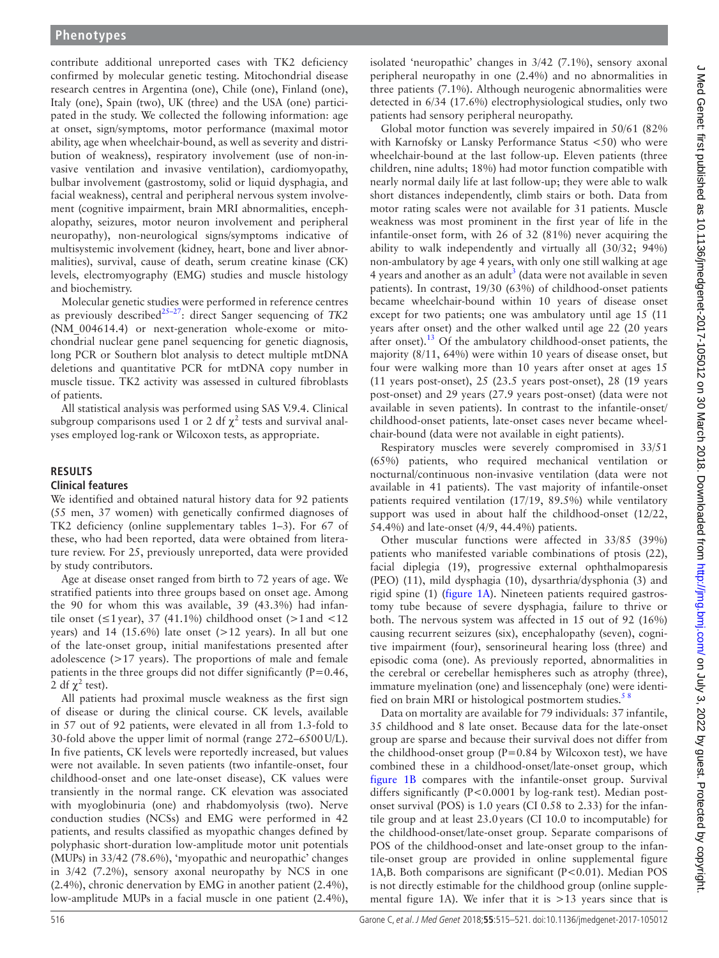contribute additional unreported cases with TK2 deficiency confirmed by molecular genetic testing. Mitochondrial disease research centres in Argentina (one), Chile (one), Finland (one), Italy (one), Spain (two), UK (three) and the USA (one) participated in the study. We collected the following information: age at onset, sign/symptoms, motor performance (maximal motor ability, age when wheelchair-bound, as well as severity and distribution of weakness), respiratory involvement (use of non-invasive ventilation and invasive ventilation), cardiomyopathy, bulbar involvement (gastrostomy, solid or liquid dysphagia, and facial weakness), central and peripheral nervous system involvement (cognitive impairment, brain MRI abnormalities, encephalopathy, seizures, motor neuron involvement and peripheral neuropathy), non-neurological signs/symptoms indicative of multisystemic involvement (kidney, heart, bone and liver abnormalities), survival, cause of death, serum creatine kinase (CK) levels, electromyography (EMG) studies and muscle histology and biochemistry.

Molecular genetic studies were performed in reference centres as previously described<sup>25-27</sup>: direct Sanger sequencing of *TK2* (NM\_004614.4) or next-generation whole-exome or mitochondrial nuclear gene panel sequencing for genetic diagnosis, long PCR or Southern blot analysis to detect multiple mtDNA deletions and quantitative PCR for mtDNA copy number in muscle tissue. TK2 activity was assessed in cultured fibroblasts of patients.

All statistical analysis was performed using SAS V.9.4. Clinical subgroup comparisons used 1 or 2 df  $\chi^2$  tests and survival analyses employed log-rank or Wilcoxon tests, as appropriate.

### **Results**

#### **Clinical features**

We identified and obtained natural history data for 92 patients (55 men, 37 women) with genetically confirmed diagnoses of TK2 deficiency (online [supplementary tables 1–3](https://dx.doi.org/10.1136/jmedgenet-2017-105012)). For 67 of these, who had been reported, data were obtained from literature review. For 25, previously unreported, data were provided by study contributors.

Age at disease onset ranged from birth to 72 years of age. We stratified patients into three groups based on onset age. Among the 90 for whom this was available, 39 (43.3%) had infantile onset ( $\leq$ 1 year), 37 (41.1%) childhood onset ( $>$ 1 and  $<$ 12 years) and 14 (15.6%) late onset  $(>12$  years). In all but one of the late-onset group, initial manifestations presented after adolescence (>17 years). The proportions of male and female patients in the three groups did not differ significantly  $(P=0.46,$ 2 df  $\chi^2$  test).

All patients had proximal muscle weakness as the first sign of disease or during the clinical course. CK levels, available in 57 out of 92 patients, were elevated in all from 1.3-fold to 30-fold above the upper limit of normal (range 272–6500U/L). In five patients, CK levels were reportedly increased, but values were not available. In seven patients (two infantile-onset, four childhood-onset and one late-onset disease), CK values were transiently in the normal range. CK elevation was associated with myoglobinuria (one) and rhabdomyolysis (two). Nerve conduction studies (NCSs) and EMG were performed in 42 patients, and results classified as myopathic changes defined by polyphasic short-duration low-amplitude motor unit potentials (MUPs) in 33/42 (78.6%), 'myopathic and neuropathic' changes in 3/42 (7.2%), sensory axonal neuropathy by NCS in one (2.4%), chronic denervation by EMG in another patient (2.4%), low-amplitude MUPs in a facial muscle in one patient (2.4%),

isolated 'neuropathic' changes in 3/42 (7.1%), sensory axonal peripheral neuropathy in one (2.4%) and no abnormalities in three patients (7.1%). Although neurogenic abnormalities were detected in 6/34 (17.6%) electrophysiological studies, only two patients had sensory peripheral neuropathy.

Global motor function was severely impaired in 50/61 (82% with Karnofsky or Lansky Performance Status <50) who were wheelchair-bound at the last follow-up. Eleven patients (three children, nine adults; 18%) had motor function compatible with nearly normal daily life at last follow-up; they were able to walk short distances independently, climb stairs or both. Data from motor rating scales were not available for 31 patients. Muscle weakness was most prominent in the first year of life in the infantile-onset form, with 26 of 32 (81%) never acquiring the ability to walk independently and virtually all (30/32; 94%) non-ambulatory by age 4 years, with only one still walking at age 4 years and another as an adult<sup>[3](#page-6-2)</sup> (data were not available in seven patients). In contrast, 19/30 (63%) of childhood-onset patients became wheelchair-bound within 10 years of disease onset except for two patients; one was ambulatory until age 15 (11 years after onset) and the other walked until age 22 (20 years after onset).<sup>[13](#page-6-3)</sup> Of the ambulatory childhood-onset patients, the majority (8/11, 64%) were within 10 years of disease onset, but four were walking more than 10 years after onset at ages 15 (11 years post-onset), 25 (23.5 years post-onset), 28 (19 years post-onset) and 29 years (27.9 years post-onset) (data were not available in seven patients). In contrast to the infantile-onset/ childhood-onset patients, late-onset cases never became wheelchair-bound (data were not available in eight patients).

Respiratory muscles were severely compromised in 33/51 (65%) patients, who required mechanical ventilation or nocturnal/continuous non-invasive ventilation (data were not available in 41 patients). The vast majority of infantile-onset patients required ventilation (17/19, 89.5%) while ventilatory support was used in about half the childhood-onset (12/22, 54.4%) and late-onset (4/9, 44.4%) patients.

Other muscular functions were affected in 33/85 (39%) patients who manifested variable combinations of ptosis (22), facial diplegia (19), progressive external ophthalmoparesis (PEO) (11), mild dysphagia (10), dysarthria/dysphonia (3) and rigid spine (1) [\(figure](#page-2-0) 1A). Nineteen patients required gastrostomy tube because of severe dysphagia, failure to thrive or both. The nervous system was affected in 15 out of 92 (16%) causing recurrent seizures (six), encephalopathy (seven), cognitive impairment (four), sensorineural hearing loss (three) and episodic coma (one). As previously reported, abnormalities in the cerebral or cerebellar hemispheres such as atrophy (three), immature myelination (one) and lissencephaly (one) were identified on brain MRI or histological postmortem studies.<sup>58</sup>

Data on mortality are available for 79 individuals: 37 infantile, 35 childhood and 8 late onset. Because data for the late-onset group are sparse and because their survival does not differ from the childhood-onset group ( $P=0.84$  by Wilcoxon test), we have combined these in a childhood-onset/late-onset group, which [figure](#page-2-0) 1B compares with the infantile-onset group. Survival differs significantly (P<0.0001 by log-rank test). Median postonset survival (POS) is 1.0 years (CI 0.58 to 2.33) for the infantile group and at least 23.0years (CI 10.0 to incomputable) for the childhood-onset/late-onset group. Separate comparisons of POS of the childhood-onset and late-onset group to the infantile-onset group are provided in online [supplemental figure](https://dx.doi.org/10.1136/jmedgenet-2017-105012) [1A,B.](https://dx.doi.org/10.1136/jmedgenet-2017-105012) Both comparisons are significant (P<0.01). Median POS is not directly estimable for the childhood group (online [supple](https://dx.doi.org/10.1136/jmedgenet-2017-105012)[mental](https://dx.doi.org/10.1136/jmedgenet-2017-105012) figure 1A). We infer that it is  $>13$  years since that is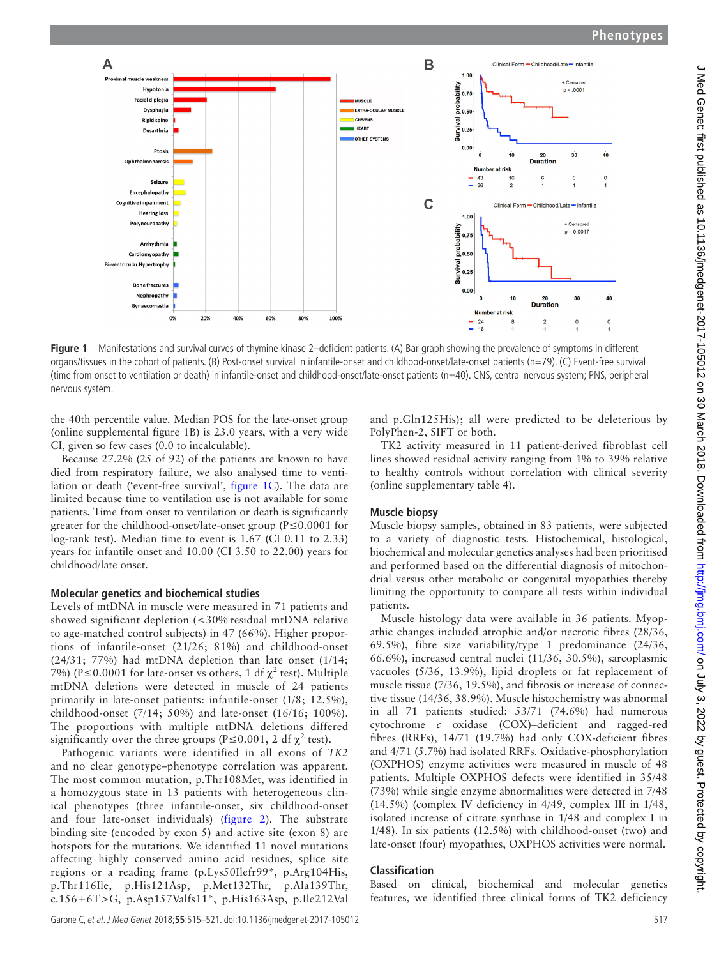

<span id="page-2-0"></span>**Figure 1** Manifestations and survival curves of thymine kinase 2–deficient patients. (A) Bar graph showing the prevalence of symptoms in different organs/tissues in the cohort of patients. (B) Post-onset survival in infantile-onset and childhood-onset/late-onset patients (n=79). (C) Event-free survival (time from onset to ventilation or death) in infantile-onset and childhood-onset/late-onset patients (n=40). CNS, central nervous system; PNS, peripheral nervous system.

the 40th percentile value. Median POS for the late-onset group (online [supplemental figure 1B](https://dx.doi.org/10.1136/jmedgenet-2017-105012)) is 23.0 years, with a very wide CI, given so few cases (0.0 to incalculable).

Because 27.2% (25 of 92) of the patients are known to have died from respiratory failure, we also analysed time to ventilation or death ('event-free survival', [figure](#page-2-0) 1C). The data are limited because time to ventilation use is not available for some patients. Time from onset to ventilation or death is significantly greater for the childhood-onset/late-onset group (P≤0.0001 for log-rank test). Median time to event is 1.67 (CI 0.11 to 2.33) years for infantile onset and 10.00 (CI 3.50 to 22.00) years for childhood/late onset.

#### **Molecular genetics and biochemical studies**

Levels of mtDNA in muscle were measured in 71 patients and showed significant depletion (<30% residual mtDNA relative to age-matched control subjects) in 47 (66%). Higher proportions of infantile-onset (21/26; 81%) and childhood-onset (24/31; 77%) had mtDNA depletion than late onset (1/14; 7%) (P  $\leq$  0.0001 for late-onset vs others, 1 df  $\chi^2$  test). Multiple mtDNA deletions were detected in muscle of 24 patients primarily in late-onset patients: infantile-onset (1/8; 12.5%), childhood-onset (7/14; 50%) and late-onset (16/16; 100%). The proportions with multiple mtDNA deletions differed significantly over the three groups (P≤0.001, 2 df  $\chi^2$  test).

Pathogenic variants were identified in all exons of *TK2* and no clear genotype–phenotype correlation was apparent. The most common mutation, p.Thr108Met, was identified in a homozygous state in 13 patients with heterogeneous clinical phenotypes (three infantile-onset, six childhood-onset and four late-onset individuals) ([figure](#page-3-0) 2). The substrate binding site (encoded by exon 5) and active site (exon 8) are hotspots for the mutations. We identified 11 novel mutations affecting highly conserved amino acid residues, splice site regions or a reading frame (p.Lys50Ilefr99\*, p.Arg104His, p.Thr116Ile, p.His121Asp, p.Met132Thr, p.Ala139Thr, c.156+6T>G, p.Asp157Valfs11\*, p.His163Asp, p.Ile212Val

and p.Gln125His); all were predicted to be deleterious by PolyPhen-2, SIFT or both.

TK2 activity measured in 11 patient-derived fibroblast cell lines showed residual activity ranging from 1% to 39% relative to healthy controls without correlation with clinical severity (online [supplementary table 4\)](https://dx.doi.org/10.1136/jmedgenet-2017-105012).

# **Muscle biopsy**

Muscle biopsy samples, obtained in 83 patients, were subjected to a variety of diagnostic tests. Histochemical, histological, biochemical and molecular genetics analyses had been prioritised and performed based on the differential diagnosis of mitochondrial versus other metabolic or congenital myopathies thereby limiting the opportunity to compare all tests within individual patients.

Muscle histology data were available in 36 patients. Myopathic changes included atrophic and/or necrotic fibres (28/36, 69.5%), fibre size variability/type 1 predominance (24/36, 66.6%), increased central nuclei (11/36, 30.5%), sarcoplasmic vacuoles (5/36, 13.9%), lipid droplets or fat replacement of muscle tissue (7/36, 19.5%), and fibrosis or increase of connective tissue (14/36, 38.9%). Muscle histochemistry was abnormal in all 71 patients studied: 53/71 (74.6%) had numerous cytochrome *c* oxidase (COX)–deficient and ragged-red fibres (RRFs), 14/71 (19.7%) had only COX-deficient fibres and 4/71 (5.7%) had isolated RRFs. Oxidative-phosphorylation (OXPHOS) enzyme activities were measured in muscle of 48 patients. Multiple OXPHOS defects were identified in 35/48 (73%) while single enzyme abnormalities were detected in 7/48 (14.5%) (complex IV deficiency in 4/49, complex III in 1/48, isolated increase of citrate synthase in 1/48 and complex I in 1/48). In six patients (12.5%) with childhood-onset (two) and late-onset (four) myopathies, OXPHOS activities were normal.

# **Classification**

Based on clinical, biochemical and molecular genetics features, we identified three clinical forms of TK2 deficiency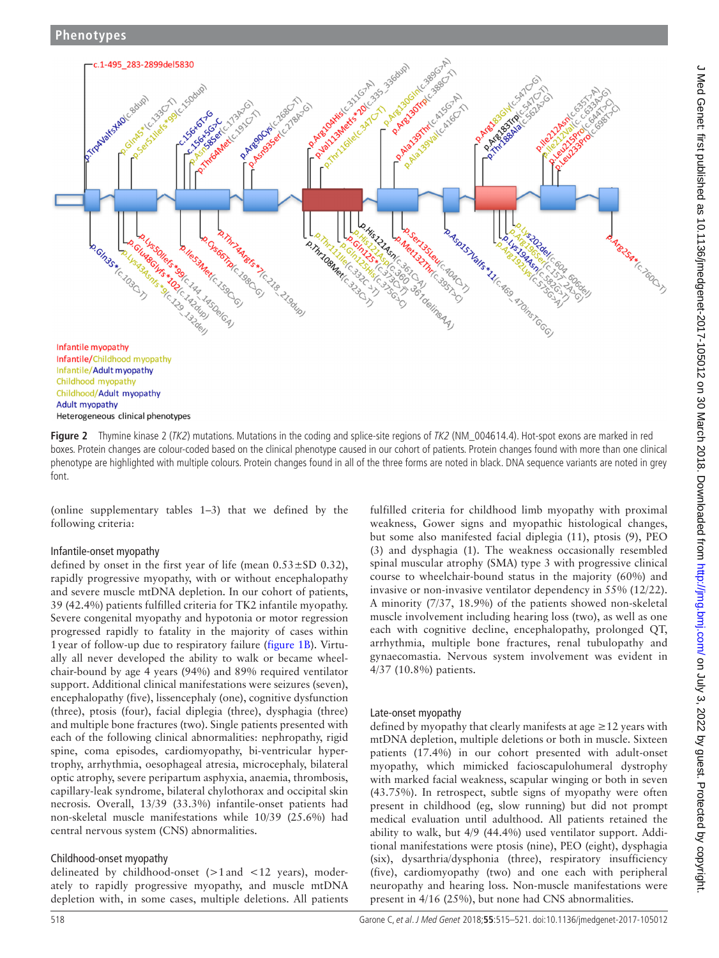

<span id="page-3-0"></span>Figure 2 Thymine kinase 2 (TK2) mutations. Mutations in the coding and splice-site regions of TK2 (NM\_004614.4). Hot-spot exons are marked in red boxes. Protein changes are colour-coded based on the clinical phenotype caused in our cohort of patients. Protein changes found with more than one clinical phenotype are highlighted with multiple colours. Protein changes found in all of the three forms are noted in black. DNA sequence variants are noted in grey font.

(online [supplementary tables 1–3\)](https://dx.doi.org/10.1136/jmedgenet-2017-105012) that we defined by the following criteria:

#### Infantile-onset myopathy

defined by onset in the first year of life (mean  $0.53 \pm SD$  0.32), rapidly progressive myopathy, with or without encephalopathy and severe muscle mtDNA depletion. In our cohort of patients, 39 (42.4%) patients fulfilled criteria for TK2 infantile myopathy. Severe congenital myopathy and hypotonia or motor regression progressed rapidly to fatality in the majority of cases within 1year of follow-up due to respiratory failure ([figure](#page-2-0) 1B). Virtually all never developed the ability to walk or became wheelchair-bound by age 4 years (94%) and 89% required ventilator support. Additional clinical manifestations were seizures (seven), encephalopathy (five), lissencephaly (one), cognitive dysfunction (three), ptosis (four), facial diplegia (three), dysphagia (three) and multiple bone fractures (two). Single patients presented with each of the following clinical abnormalities: nephropathy, rigid spine, coma episodes, cardiomyopathy, bi-ventricular hypertrophy, arrhythmia, oesophageal atresia, microcephaly, bilateral optic atrophy, severe peripartum asphyxia, anaemia, thrombosis, capillary-leak syndrome, bilateral chylothorax and occipital skin necrosis. Overall, 13/39 (33.3%) infantile-onset patients had non-skeletal muscle manifestations while 10/39 (25.6%) had central nervous system (CNS) abnormalities.

# Childhood-onset myopathy

delineated by childhood-onset  $(>1$  and  $<12$  years), moderately to rapidly progressive myopathy, and muscle mtDNA depletion with, in some cases, multiple deletions. All patients

fulfilled criteria for childhood limb myopathy with proximal weakness, Gower signs and myopathic histological changes, but some also manifested facial diplegia (11), ptosis (9), PEO (3) and dysphagia (1). The weakness occasionally resembled spinal muscular atrophy (SMA) type 3 with progressive clinical course to wheelchair-bound status in the majority (60%) and invasive or non-invasive ventilator dependency in 55% (12/22). A minority (7/37, 18.9%) of the patients showed non-skeletal muscle involvement including hearing loss (two), as well as one each with cognitive decline, encephalopathy, prolonged QT, arrhythmia, multiple bone fractures, renal tubulopathy and gynaecomastia. Nervous system involvement was evident in 4/37 (10.8%) patients.

# Late-onset myopathy

defined by myopathy that clearly manifests at age  $\geq$  12 years with mtDNA depletion, multiple deletions or both in muscle. Sixteen patients (17.4%) in our cohort presented with adult-onset myopathy, which mimicked facioscapulohumeral dystrophy with marked facial weakness, scapular winging or both in seven (43.75%). In retrospect, subtle signs of myopathy were often present in childhood (eg, slow running) but did not prompt medical evaluation until adulthood. All patients retained the ability to walk, but 4/9 (44.4%) used ventilator support. Additional manifestations were ptosis (nine), PEO (eight), dysphagia (six), dysarthria/dysphonia (three), respiratory insufficiency (five), cardiomyopathy (two) and one each with peripheral neuropathy and hearing loss. Non-muscle manifestations were present in 4/16 (25%), but none had CNS abnormalities.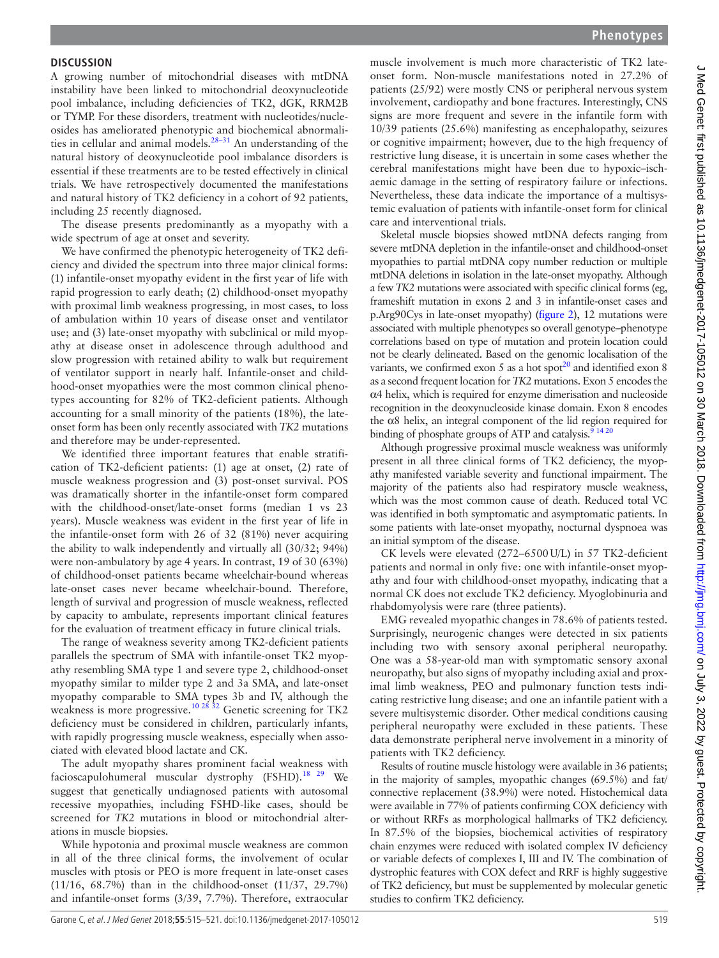A growing number of mitochondrial diseases with mtDNA instability have been linked to mitochondrial deoxynucleotide pool imbalance, including deficiencies of TK2, dGK, RRM2B or TYMP. For these disorders, treatment with nucleotides/nucleosides has ameliorated phenotypic and biochemical abnormali-ties in cellular and animal models.<sup>[28–31](#page-6-5)</sup> An understanding of the natural history of deoxynucleotide pool imbalance disorders is essential if these treatments are to be tested effectively in clinical trials. We have retrospectively documented the manifestations and natural history of TK2 deficiency in a cohort of 92 patients, including 25 recently diagnosed.

The disease presents predominantly as a myopathy with a wide spectrum of age at onset and severity.

We have confirmed the phenotypic heterogeneity of TK2 deficiency and divided the spectrum into three major clinical forms: (1) infantile-onset myopathy evident in the first year of life with rapid progression to early death; (2) childhood-onset myopathy with proximal limb weakness progressing, in most cases, to loss of ambulation within 10 years of disease onset and ventilator use; and (3) late-onset myopathy with subclinical or mild myopathy at disease onset in adolescence through adulthood and slow progression with retained ability to walk but requirement of ventilator support in nearly half. Infantile-onset and childhood-onset myopathies were the most common clinical phenotypes accounting for 82% of TK2-deficient patients. Although accounting for a small minority of the patients (18%), the lateonset form has been only recently associated with *TK2* mutations and therefore may be under-represented.

We identified three important features that enable stratification of TK2-deficient patients: (1) age at onset, (2) rate of muscle weakness progression and (3) post-onset survival. POS was dramatically shorter in the infantile-onset form compared with the childhood-onset/late-onset forms (median 1 vs 23 years). Muscle weakness was evident in the first year of life in the infantile-onset form with 26 of 32 (81%) never acquiring the ability to walk independently and virtually all (30/32; 94%) were non-ambulatory by age 4 years. In contrast, 19 of 30 (63%) of childhood-onset patients became wheelchair-bound whereas late-onset cases never became wheelchair-bound. Therefore, length of survival and progression of muscle weakness, reflected by capacity to ambulate, represents important clinical features for the evaluation of treatment efficacy in future clinical trials.

The range of weakness severity among TK2-deficient patients parallels the spectrum of SMA with infantile-onset TK2 myopathy resembling SMA type 1 and severe type 2, childhood-onset myopathy similar to milder type 2 and 3a SMA, and late-onset myopathy comparable to SMA types 3b and IV, although the weakness is more progressive.<sup>[10 28 32](#page-6-6)</sup> Genetic screening for TK2 deficiency must be considered in children, particularly infants, with rapidly progressing muscle weakness, especially when associated with elevated blood lactate and CK.

The adult myopathy shares prominent facial weakness with facioscapulohumeral muscular dystrophy (FSHD).<sup>18 29</sup> We suggest that genetically undiagnosed patients with autosomal recessive myopathies, including FSHD-like cases, should be screened for *TK2* mutations in blood or mitochondrial alterations in muscle biopsies.

While hypotonia and proximal muscle weakness are common in all of the three clinical forms, the involvement of ocular muscles with ptosis or PEO is more frequent in late-onset cases (11/16, 68.7%) than in the childhood-onset (11/37, 29.7%) and infantile-onset forms (3/39, 7.7%). Therefore, extraocular

muscle involvement is much more characteristic of TK2 lateonset form. Non-muscle manifestations noted in 27.2% of patients (25/92) were mostly CNS or peripheral nervous system involvement, cardiopathy and bone fractures. Interestingly, CNS signs are more frequent and severe in the infantile form with 10/39 patients (25.6%) manifesting as encephalopathy, seizures or cognitive impairment; however, due to the high frequency of restrictive lung disease, it is uncertain in some cases whether the cerebral manifestations might have been due to hypoxic–ischaemic damage in the setting of respiratory failure or infections. Nevertheless, these data indicate the importance of a multisystemic evaluation of patients with infantile-onset form for clinical care and interventional trials.

Skeletal muscle biopsies showed mtDNA defects ranging from severe mtDNA depletion in the infantile-onset and childhood-onset myopathies to partial mtDNA copy number reduction or multiple mtDNA deletions in isolation in the late-onset myopathy. Although a few *TK2* mutations were associated with specific clinical forms (eg, frameshift mutation in exons 2 and 3 in infantile-onset cases and p.Arg90Cys in late-onset myopathy) [\(figure](#page-3-0) 2), 12 mutations were associated with multiple phenotypes so overall genotype–phenotype correlations based on type of mutation and protein location could not be clearly delineated. Based on the genomic localisation of the variants, we confirmed exon 5 as a hot spot<sup>20</sup> and identified exon 8 as a second frequent location for *TK2* mutations. Exon 5 encodes the α4 helix, which is required for enzyme dimerisation and nucleoside recognition in the deoxynucleoside kinase domain. Exon 8 encodes the α8 helix, an integral component of the lid region required for binding of phosphate groups of ATP and catalysis.  $91420$ 

Although progressive proximal muscle weakness was uniformly present in all three clinical forms of TK2 deficiency, the myopathy manifested variable severity and functional impairment. The majority of the patients also had respiratory muscle weakness, which was the most common cause of death. Reduced total VC was identified in both symptomatic and asymptomatic patients. In some patients with late-onset myopathy, nocturnal dyspnoea was an initial symptom of the disease.

CK levels were elevated (272–6500U/L) in 57 TK2-deficient patients and normal in only five: one with infantile-onset myopathy and four with childhood-onset myopathy, indicating that a normal CK does not exclude TK2 deficiency. Myoglobinuria and rhabdomyolysis were rare (three patients).

EMG revealed myopathic changes in 78.6% of patients tested. Surprisingly, neurogenic changes were detected in six patients including two with sensory axonal peripheral neuropathy. One was a 58-year-old man with symptomatic sensory axonal neuropathy, but also signs of myopathy including axial and proximal limb weakness, PEO and pulmonary function tests indicating restrictive lung disease; and one an infantile patient with a severe multisystemic disorder. Other medical conditions causing peripheral neuropathy were excluded in these patients. These data demonstrate peripheral nerve involvement in a minority of patients with TK2 deficiency.

Results of routine muscle histology were available in 36 patients; in the majority of samples, myopathic changes (69.5%) and fat/ connective replacement (38.9%) were noted. Histochemical data were available in 77% of patients confirming COX deficiency with or without RRFs as morphological hallmarks of TK2 deficiency. In 87.5% of the biopsies, biochemical activities of respiratory chain enzymes were reduced with isolated complex IV deficiency or variable defects of complexes I, III and IV. The combination of dystrophic features with COX defect and RRF is highly suggestive of TK2 deficiency, but must be supplemented by molecular genetic studies to confirm TK2 deficiency.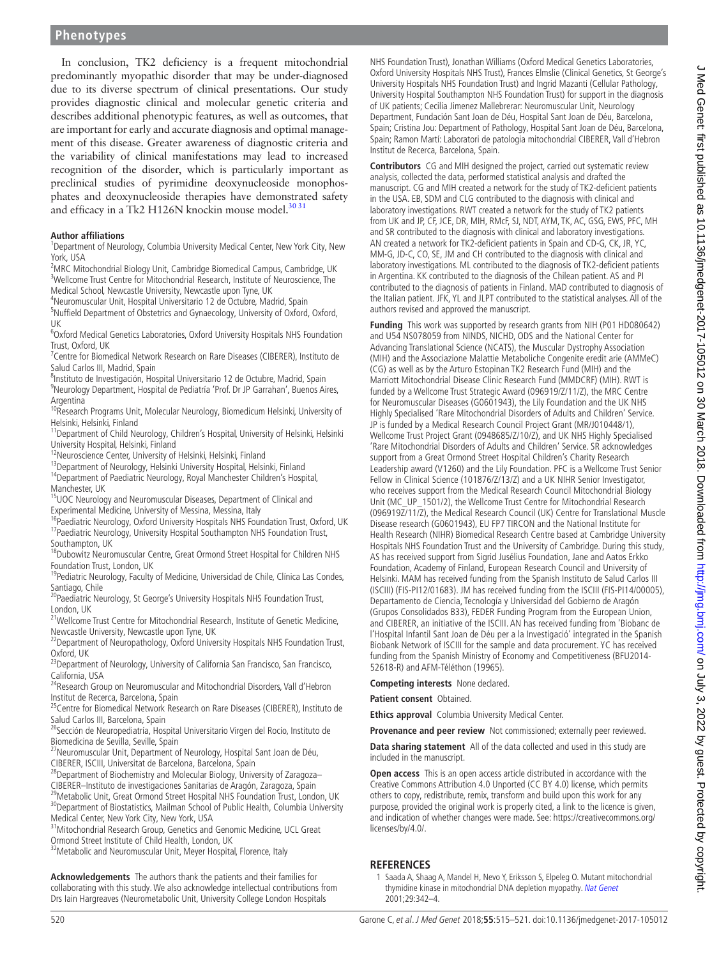In conclusion, TK2 deficiency is a frequent mitochondrial predominantly myopathic disorder that may be under-diagnosed due to its diverse spectrum of clinical presentations. Our study provides diagnostic clinical and molecular genetic criteria and describes additional phenotypic features, as well as outcomes, that are important for early and accurate diagnosis and optimal management of this disease. Greater awareness of diagnostic criteria and the variability of clinical manifestations may lead to increased recognition of the disorder, which is particularly important as preclinical studies of pyrimidine deoxynucleoside monophosphates and deoxynucleoside therapies have demonstrated safety and efficacy in a Tk2 H126N knockin mouse model.<sup>30 31</sup>

#### **Author affiliations**

<sup>1</sup>Department of Neurology, Columbia University Medical Center, New York City, New York, USA

<sup>2</sup>MRC Mitochondrial Biology Unit, Cambridge Biomedical Campus, Cambridge, UK <sup>3</sup>Wellcome Trust Centre for Mitochondrial Research, Institute of Neuroscience, The Medical School, Newcastle University, Newcastle upon Tyne, UK <sup>4</sup>

Neuromuscular Unit, Hospital Universitario 12 de Octubre, Madrid, Spain <sup>5</sup> <sup>5</sup>Nuffield Department of Obstetrics and Gynaecology, University of Oxford, Oxford, UK

6 Oxford Medical Genetics Laboratories, Oxford University Hospitals NHS Foundation Trust, Oxford, UK <sup>7</sup>

 $17$ Centre for Biomedical Network Research on Rare Diseases (CIBERER), Instituto de Salud Carlos III, Madrid, Spain <sup>8</sup>

<sup>8</sup>Instituto de Investigación, Hospital Universitario 12 de Octubre, Madrid, Spain

<sup>9</sup>Neurology Department, Hospital de Pediatría 'Prof. Dr JP Garrahan', Buenos Aires,

Argentina<br><sup>10</sup>Research Programs Unit, Molecular Neurology, Biomedicum Helsinki, University of

Helsinki, Helsinki, Finland<br><sup>11</sup>Department of Child Neurology, Children's Hospital, University of Helsinki, Helsinki<br>University Hospital, Helsinki, Finland

<sup>12</sup>Neuroscience Center, University of Helsinki, Helsinki, Finland<br><sup>13</sup>Department of Neurology, Helsinki University Hospital, Helsinki, Finland<br><sup>14</sup>Department of Paediatric Neurology, Royal Manchester Children's Hospital,

<sup>15</sup>UOC Neurology and Neuromuscular Diseases, Department of Clinical and<br>Experimental Medicine, University of Messina, Messina, Italy

<sup>16</sup>Paediatric Neurology, Oxford University Hospitals NHS Foundation Trust, Oxford, UK <sup>17</sup>Paediatric Neurology, University Hospital Southampton NHS Foundation Trust,

Southampton, UK 18Dubowitz Neuromuscular Centre, Great Ormond Street Hospital for Children NHS

Foundation Trust, London, UK<br><sup>19</sup>Pediatric Neurology, Faculty of Medicine, Universidad de Chile, Clínica Las Condes,

Santiago, Chile<br><sup>20</sup>Paediatric Neurology, St George's University Hospitals NHS Foundation Trust, London, UK

<sup>21</sup>Wellcome Trust Centre for Mitochondrial Research, Institute of Genetic Medicine,<br>Newcastle University, Newcastle upon Tyne, UK

<sup>22</sup>Department of Neuropathology, Oxford University Hospitals NHS Foundation Trust, Oxford, UK

<sup>23</sup>Department of Neurology, University of California San Francisco, San Francisco,

California, USA<br><sup>24</sup>Research Group on Neuromuscular and Mitochondrial Disorders, Vall d'Hebron Institut de Recerca, Barcelona, Spain<br><sup>25</sup>Centre for Biomedical Network Research on Rare Diseases (CIBERER), Instituto de

Salud Carlos III, Barcelona, Spain<br><sup>26</sup>Sección de Neuropediatría, Hospital Universitario Virgen del Rocío, Instituto de

Biomedicina de Sevilla, Seville, Spain<br><sup>27</sup>Neuromuscular Unit, Department of Neurology, Hospital Sant Joan de Déu,<br>CIBERER, ISCIII, Universitat de Barcelona, Barcelona, Spain

<sup>28</sup>Department of Biochemistry and Molecular Biology, University of Zaragoza-CIBERER—Instituto de investigaciones Sanitarias de Áragón, Zaragoza, Spain<br><sup>29</sup>Metabolic Unit, Great Ormond Street Hospital NHS Foundation Trust, London, UK<br><sup>30</sup>Department of Biostatistics, Mailman School of Public Health,

Medical Center, New York City, New York, USA<br><sup>31</sup>Mitochondrial Research Group, Genetics and Genomic Medicine, UCL Great<br>Ormond Street Institute of Child Health, London, UK

<sup>32</sup> Metabolic and Neuromuscular Unit, Meyer Hospital, Florence, Italy

**Acknowledgements** The authors thank the patients and their families for collaborating with this study. We also acknowledge intellectual contributions from Drs Iain Hargreaves (Neurometabolic Unit, University College London Hospitals

NHS Foundation Trust), Jonathan Williams (Oxford Medical Genetics Laboratories, Oxford University Hospitals NHS Trust), Frances Elmslie (Clinical Genetics, St George's University Hospitals NHS Foundation Trust) and Ingrid Mazanti (Cellular Pathology, University Hospital Southampton NHS Foundation Trust) for support in the diagnosis of UK patients; Cecilia Jimenez Mallebrerar: Neuromuscular Unit, Neurology Department, Fundación Sant Joan de Déu, Hospital Sant Joan de Déu, Barcelona, Spain; Cristina Jou: Department of Pathology, Hospital Sant Joan de Déu, Barcelona, Spain; Ramon Martí: Laboratori de patologia mitochondrial CIBERER, Vall d'Hebron Institut de Recerca, Barcelona, Spain.

**Contributors** CG and MIH designed the project, carried out systematic review analysis, collected the data, performed statistical analysis and drafted the manuscript. CG and MIH created a network for the study of TK2-deficient patients in the USA. EB, SDM and CLG contributed to the diagnosis with clinical and laboratory investigations. RWT created a network for the study of TK2 patients from UK and JP, CF, JCE, DR, MIH, RMcF, SJ, NDT, AYM, TK, AC, GSG, EWS, PFC, MH and SR contributed to the diagnosis with clinical and laboratory investigations. AN created a network for TK2-deficient patients in Spain and CD-G, CK, JR, YC, MM-G, JD-C, CO, SE, JM and CH contributed to the diagnosis with clinical and laboratory investigations. ML contributed to the diagnosis of TK2-deficient patients in Argentina. KK contributed to the diagnosis of the Chilean patient. AS and PI contributed to the diagnosis of patients in Finland. MAD contributed to diagnosis of the Italian patient. JFK, YL and JLPT contributed to the statistical analyses. All of the authors revised and approved the manuscript.

**Funding** This work was supported by research grants from NIH (P01 HD080642) and U54 NS078059 from NINDS, NICHD, ODS and the National Center for Advancing Translational Science (NCATS), the Muscular Dystrophy Association (MIH) and the Associazione Malattie Metaboliche Congenite eredit arie (AMMeC) (CG) as well as by the Arturo Estopinan TK2 Research Fund (MIH) and the Marriott Mitochondrial Disease Clinic Research Fund (MMDCRF) (MIH). RWT is funded by a Wellcome Trust Strategic Award (096919/Z/11/Z), the MRC Centre for Neuromuscular Diseases (G0601943), the Lily Foundation and the UK NHS Highly Specialised 'Rare Mitochondrial Disorders of Adults and Children' Service. JP is funded by a Medical Research Council Project Grant (MR/J010448/1), Wellcome Trust Project Grant (0948685/Z/10/Z), and UK NHS Highly Specialised 'Rare Mitochondrial Disorders of Adults and Children' Service. SR acknowledges support from a Great Ormond Street Hospital Children's Charity Research Leadership award (V1260) and the Lily Foundation. PFC is a Wellcome Trust Senior Fellow in Clinical Science (101876/Z/13/Z) and a UK NIHR Senior Investigator, who receives support from the Medical Research Council Mitochondrial Biology Unit (MC\_UP\_1501/2), the Wellcome Trust Centre for Mitochondrial Research (096919Z/11/Z), the Medical Research Council (UK) Centre for Translational Muscle Disease research (G0601943), EU FP7 TIRCON and the National Institute for Health Research (NIHR) Biomedical Research Centre based at Cambridge University Hospitals NHS Foundation Trust and the University of Cambridge. During this study, AS has received support from Sigrid Jusélius Foundation, Jane and Aatos Erkko Foundation, Academy of Finland, European Research Council and University of Helsinki. MAM has received funding from the Spanish Instituto de Salud Carlos III (ISCIII) (FIS-PI12/01683). JM has received funding from the ISCIII (FIS-PI14/00005), Departamento de Ciencia, Tecnología y Universidad del Gobierno de Aragón (Grupos Consolidados B33), FEDER Funding Program from the European Union, and CIBERER, an initiative of the ISCIII. AN has received funding from 'Biobanc de l'Hospital Infantil Sant Joan de Déu per a la Investigació' integrated in the Spanish Biobank Network of ISCIII for the sample and data procurement. YC has received funding from the Spanish Ministry of Economy and Competitiveness (BFU2014- 52618-R) and AFM-Téléthon (19965).

**Competing interests** None declared.

**Patient consent** Obtained.

**Ethics approval** Columbia University Medical Center.

**Provenance and peer review** Not commissioned; externally peer reviewed.

**Data sharing statement** All of the data collected and used in this study are included in the manuscript.

**Open access** This is an open access article distributed in accordance with the Creative Commons Attribution 4.0 Unported (CC BY 4.0) license, which permits others to copy, redistribute, remix, transform and build upon this work for any purpose, provided the original work is properly cited, a link to the licence is given, and indication of whether changes were made. See: [https://creativecommons.org/](https://creativecommons.org/licenses/by/4.0/) [licenses/by/4.0/.](https://creativecommons.org/licenses/by/4.0/)

# <span id="page-5-0"></span>**References**